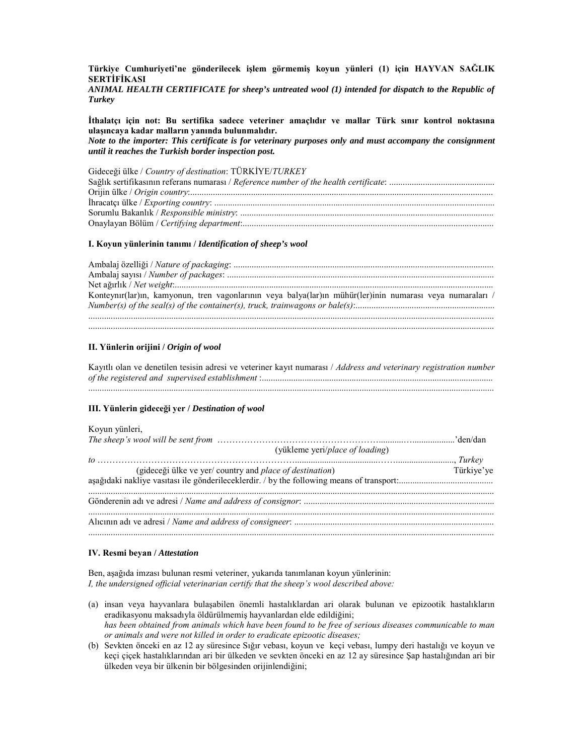Türkiye Cumhuriyeti'ne gönderilecek işlem görmemiş koyun yünleri (1) için HAYVAN SAĞLIK **SERTIFIKASI** 

ANIMAL HEALTH CERTIFICATE for sheep's untreated wool (1) intended for dispatch to the Republic of **Turkey** 

İthalatçı için not: Bu sertifika sadece veteriner amaçlıdır ve mallar Türk sınır kontrol noktasına ulaşıncaya kadar malların yanında bulunmalıdır.

Note to the importer: This certificate is for veterinary purposes only and must accompany the consignment until it reaches the Turkish border inspection post.

Gideceği ülke / Country of destination: TÜRKİYE/TURKEY

#### I. Kovun vünlerinin tanımı / Identification of sheep's wool

| Konteynır(lar)ın, kamyonun, tren vagonlarının veya balya(lar)ın mühür(ler)inin numarası veya numaraları / |
|-----------------------------------------------------------------------------------------------------------|
|                                                                                                           |
|                                                                                                           |
|                                                                                                           |

## II. Yünlerin orijini / Origin of wool

Kayıtlı olan ve denetilen tesisin adresi ve veteriner kayıt numarası / Address and veterinary registration number 

## III. Yünlerin gideceği yer / Destination of wool

# Kovun vünleri

| (yükleme yeri/place of loading)                         |            |
|---------------------------------------------------------|------------|
|                                                         |            |
| (gideceği ülke ve yer/country and place of destination) | Türkiye'ye |
|                                                         |            |
|                                                         |            |
|                                                         |            |

#### IV. Resmi beyan / Attestation

Ben, aşağıda imzası bulunan resmi veteriner, yukarıda tanımlanan koyun yünlerinin: I, the undersigned official veterinarian certify that the sheep's wool described above:

- (a) insan veya hayyanlara bulasabilen önemli hastalıklardan ari olarak bulunan ve epizootik hastalıkların eradikasyonu maksadıyla öldürülmemiş hayvanlardan elde edildiğini; has been obtained from animals which have been found to be free of serious diseases communicable to man or animals and were not killed in order to eradicate epizootic diseases;
- (b) Sevkten önceki en az 12 ay süresince Sığır vebası, koyun ve keçi vebası, lumpy deri hastalığı ve koyun ve keçi çiçek hastalıklarından ari bir ülkeden ve sevkten önceki en az 12 ay süresince Şap hastalığından ari bir ülkeden veya bir ülkenin bir bölgesinden orijinlendiğini;